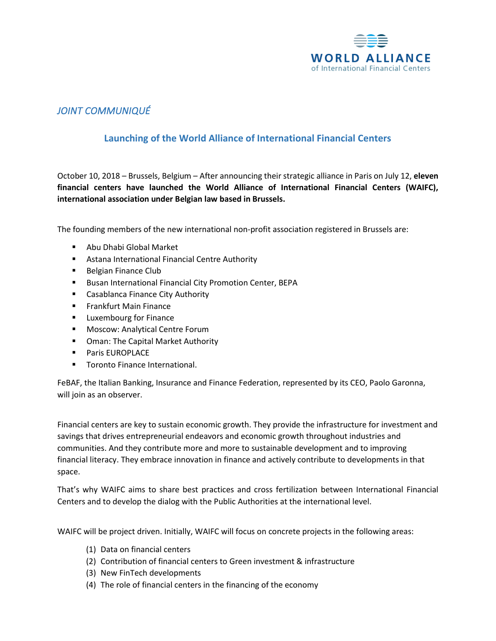

## *JOINT COMMUNIQUÉ*

## **Launching of the World Alliance of International Financial Centers**

October 10, 2018 – Brussels, Belgium – After announcing their strategic alliance in Paris on July 12, **eleven financial centers have launched the World Alliance of International Financial Centers (WAIFC), international association under Belgian law based in Brussels.**

The founding members of the new international non-profit association registered in Brussels are:

- Abu Dhabi Global Market
- Astana International Financial Centre Authority
- Belgian Finance Club
- Busan International Financial City Promotion Center, BEPA
- Casablanca Finance City Authority
- Frankfurt Main Finance
- Luxembourg for Finance
- Moscow: Analytical Centre Forum
- Oman: The Capital Market Authority
- **Paris EUROPLACE**
- Toronto Finance International.

FeBAF, the Italian Banking, Insurance and Finance Federation, represented by its CEO, Paolo Garonna, will join as an observer.

Financial centers are key to sustain economic growth. They provide the infrastructure for investment and savings that drives entrepreneurial endeavors and economic growth throughout industries and communities. And they contribute more and more to sustainable development and to improving financial literacy. They embrace innovation in finance and actively contribute to developments in that space.

That's why WAIFC aims to share best practices and cross fertilization between International Financial Centers and to develop the dialog with the Public Authorities at the international level.

WAIFC will be project driven. Initially, WAIFC will focus on concrete projects in the following areas:

- (1) Data on financial centers
- (2) Contribution of financial centers to Green investment & infrastructure
- (3) New FinTech developments
- (4) The role of financial centers in the financing of the economy